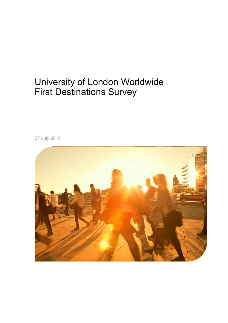# University of London Worldwide First Destinations Survey

27 July 2018

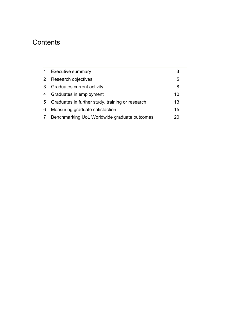# **Contents**

|   | <b>Executive summary</b>                         |    |
|---|--------------------------------------------------|----|
| 2 | Research objectives                              | 5  |
| 3 | Graduates current activity                       | 8  |
| 4 | Graduates in employment                          | 10 |
| 5 | Graduates in further study, training or research | 13 |
| 6 | Measuring graduate satisfaction                  | 15 |
|   | Benchmarking UoL Worldwide graduate outcomes     |    |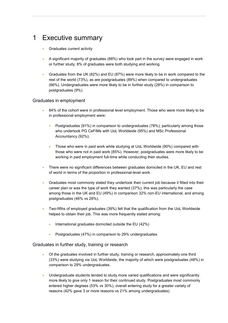# <span id="page-2-0"></span>1 Executive summary

- **Graduates current activity**
- A significant majority of graduates (88%) who took part in the survey were engaged in work or further study; 8% of graduates were both studying and working.
- Graduates from the UK (82%) and EU (87%) were more likely to be in work compared to the rest of the world (73%), as are postgraduates (89%) when compared to undergraduates (66%). Undergraduates were more likely to be in further study (28%) in comparison to postgraduates (9%).

### Graduates in employment

- 84% of the cohort were in professional level employment. Those who were more likely to be in professional employment were:
	- Postgraduates (91%) in comparison to undergraduates (78%); particularly among those who undertook PG CeFIMs with UoL Worldwide (95%) and MSc Professional Accountancy (92%);
	- Those who were in paid work while studying at UoL Worldwide (90%) compared with those who were not in paid work (85%). However, postgraduates were more likely to be working in paid employment full-time while conducting their studies.
- There were no significant differences between graduates domiciled in the UK, EU and rest of world in terms of the proportion in professional-level work.
- Graduates most commonly stated they undertook their current job because it fitted into their career plan or was the type of work they wanted (37%); this was particularly the case among those in the UK and EU (49%) in comparison 32% non-EU international, and among postgraduates (46% vs 28%).
- Two-fifths of employed graduates (39%) felt that the qualification from the UoL Worldwide helped to obtain their job. This was more frequently stated among:
	- International graduates domiciled outside the EU (42%)
	- Postgraduates (47%) in comparison to 29% undergraduates.

### Graduates in further study, training or research

- Of the graduates involved in further study, training or research, approximately one third (33%) were studying via UoL Worldwide, the majority of which were postgraduates (48%) in comparison to 29% undergraduates.
- Undergraduate students tended to study more varied qualifications and were significantly more likely to give only 1 reason for their continued study. Postgraduates most commonly entered higher degrees (53% vs 30%), overall entering study for a greater variety of reasons (42% gave 3 or more reasons vs 21% among undergraduates).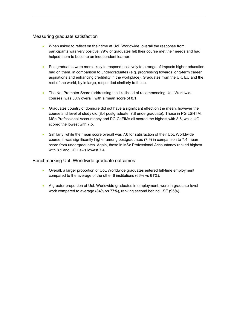### Measuring graduate satisfaction

- When asked to reflect on their time at UoL Worldwide, overall the response from participants was very positive; 79% of graduates felt their course met their needs and had helped them to become an independent learner.
- Postgraduates were more likely to respond positively to a range of impacts higher education had on them, in comparison to undergraduates (e.g. progressing towards long-term career aspirations and enhancing credibility in the workplace). Graduates from the UK, EU and the rest of the world, by in large, responded similarly to these.
- The Net Promoter Score (addressing the likelihood of recommending UoL Worldwide courses) was 30% overall, with a mean score of 8.1.
- Graduates country of domicile did not have a significant effect on the mean, however the course and level of study did (8.4 postgraduate, 7.8 undergraduate). Those in PG LSHTM, MSc Professional Accountancy and PG CeFIMs all scored the highest with 8.6, while UG scored the lowest with 7.5.
- Similarly, while the mean score overall was 7.6 for satisfaction of their UoL Worldwide course, it was significantly higher among postgraduates (7.9) in comparison to 7.4 mean score from undergraduates. Again, those in MSc Professional Accountancy ranked highest with 8.1 and UG Laws lowest 7.4.

### Benchmarking UoL Worldwide graduate outcomes

- Overall, a larger proportion of UoL Worldwide graduates entered full-time employment compared to the average of the other 6 institutions (66% vs 61%).
- A greater proportion of UoL Worldwide graduates in employment, were in graduate-level work compared to average (84% vs 77%), ranking second behind LSE (95%).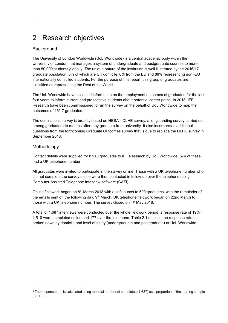# <span id="page-4-0"></span>2 Research objectives

# **Background**

The University of London Worldwide (UoL Worldwide) is a central academic body within the University of London that manages a system of undergraduate and postgraduate courses to more than 50,000 students globally. The unique nature of the institution is well illustrated by the 2016/17 graduate population, 6% of which are UK domicile, 6% from the EU and 88% representing non -EU internationally domiciled students. For the purpose of this report, this group of graduates are classified as representing the Rest of the World.

The UoL Worldwide have collected information on the employment outcomes of graduates for the last four years to inform current and prospective students about potential career paths. In 2018, IFF Research have been commissioned to run the survey on the behalf of UoL Worldwide to map the outcomes of 16/17 graduates.

The destinations survey is broadly based on HESA's DLHE survey, a longstanding survey carried out among graduates six months after they graduate from university. It also incorporates additional questions from the forthcoming Graduate Outcomes survey that is due to replace the DLHE survey in September 2018.

## Methodology

-

Contact details were supplied for 8,910 graduates to IFF Research by UoL Worldwide; 574 of these had a UK telephone number.

All graduates were invited to participate in the survey online. Those with a UK telephone number who did not complete the survey online were then contacted in follow-up over the telephone using Computer Assisted Telephone Interview software (CATI).

Online fieldwork began on 8th March 2018 with a soft launch to 500 graduates, with the remainder of the emails sent on the following day, 9<sup>th</sup> March. UK telephone fieldwork began on 22nd March to those with a UK telephone number. The survey closed on  $4<sup>th</sup>$  May 2018.

A total of 1,687 interviews were conducted over the whole fieldwork period, a response rate of 19%<sup>1</sup>. 1,510 were completed online and 177 over the telephone. Table 2.1 outlines the response rate as broken down by domicile and level of study (undergraduate and postgraduate) at UoL Worldwide.

<sup>&</sup>lt;sup>1</sup> The response rate is calculated using the total number of completes (1,687) as a proportion of the starting sample (8,910).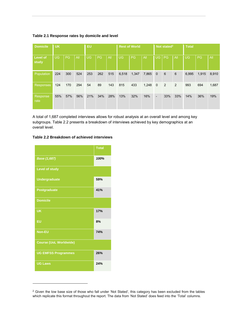**Table 2.1 Response rates by domicile and level** 

| <b>Domicile</b>          | <b>UK</b> |           |     | <b>EU</b> |     | <b>Rest of World</b> |           |           | Not stated <sup>2</sup> |                |           | <b>Total</b> |       |       |       |
|--------------------------|-----------|-----------|-----|-----------|-----|----------------------|-----------|-----------|-------------------------|----------------|-----------|--------------|-------|-------|-------|
| <b>Level of</b><br>study | <b>UG</b> | <b>PG</b> | All | <b>UG</b> | PG  | AII                  | <b>UG</b> | <b>PG</b> | All                     | <b>UG</b>      | <b>PG</b> | All          | UG    | PG    | All   |
| Population               | 224       | 300       | 524 | 253       | 262 | 515                  | 6,518     | 1,347     | 7,865                   | $\overline{0}$ | 6         | 6            | 6,995 | 1,915 | 8,910 |
| <b>Responses</b>         | 124       | 170       | 294 | 54        | 89  | 143                  | 815       | 433       | 1.248                   | $\overline{0}$ | 2         | 2            | 993   | 694   | 1,687 |
| Response<br>rate         | 55%       | 57%       | 56% | 21%       | 34% | 28%                  | 13%       | 32%       | 16%                     | $\blacksquare$ | 33%       | 33%          | 14%   | 36%   | 19%   |

A total of 1,687 completed interviews allows for robust analysis at an overall level and among key subgroups. Table 2.2 presents a breakdown of interviews achieved by key demographics at an overall level.

### **Table 2.2 Breakdown of achieved interviews**



-

 $2$  Given the low base size of those who fall under 'Not Stated', this category has been excluded from the tables which replicate this format throughout the report. The data from 'Not Stated' does feed into the 'Total' columns.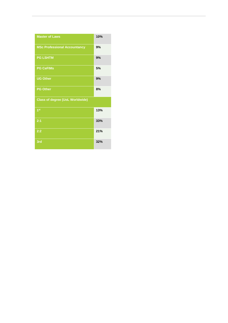| <b>Master of Laws</b>                  | 10% |
|----------------------------------------|-----|
| <b>MSc Professional Accountancy</b>    | 9%  |
| <b>PG LSHTM</b>                        | 9%  |
| <b>PG CeFIMs</b>                       | 5%  |
| <b>UG Other</b>                        | 9%  |
| <b>PG Other</b>                        | 8%  |
| <b>Class of degree (UoL Worldwide)</b> |     |
| 1 <sup>st</sup>                        | 13% |
| 2:1                                    | 33% |
| 2:2                                    | 21% |
| 3rd                                    | 32% |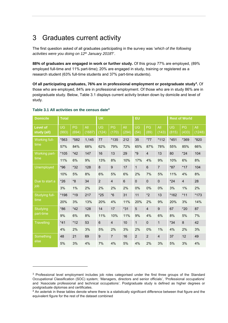# <span id="page-7-0"></span>3 Graduates current activity

The first question asked of all graduates participating in the survey was '*which of the following activities were you doing on 12th January 2018*?'.

**88% of graduates are engaged in work or further study.** Of this group 77% are employed, (89% employed full-time and 11% part-time); 20% are engaged in study, training or registered as a research student (63% full-time students and 37% part-time students).

**Of all participating graduates, 76% are in professional employment or postgraduate study<sup>3</sup> .** Of those who are employed, 84% are in professional employment. Of those who are in study 86% are in postgraduate study. Below, Table 3.1 displays current activity broken down by domicile and level of study.

| <b>Domicile</b>                | <b>Total</b>       |             |               | <b>UK</b>          |                  |                | EU             |                 |                |             | <b>Rest of World</b> |               |
|--------------------------------|--------------------|-------------|---------------|--------------------|------------------|----------------|----------------|-----------------|----------------|-------------|----------------------|---------------|
| <b>Level of</b><br>study (all) | <b>UG</b><br>(993) | PG<br>(694) | All<br>(1687) | <b>UG</b><br>(124) | PG<br>(170)      | All<br>(294)   | UG<br>(54)     | PG<br>(89)      | All<br>(143)   | UG<br>(815) | PG<br>(433)          | All<br>(1248) |
| Working full-                  | *563               | *582        | 1,145         | 77                 | *135             | 212            | 35             | $*77$           | $*112$         | $*451$      | *369                 | *820          |
| time                           | 57%                | 84%         | 68%           | 62%                | 79%              | 72%            | 65%            | 87%             | 78%            | 55%         | 85%                  | 66%           |
| Working part-                  | *105               | $*42$       | 147           | 16                 | 13               | 29             | $*9$           | $\overline{4}$  | 13             | 80          | $*24$                | 104           |
| time                           | 11%                | 6%          | 9%            | 13%                | 8%               | 10%            | 17%            | 4%              | 9%             | 10%         | 6%                   | 8%            |
| <b>Unemployed</b>              | $*96$              | $*32$       | 128           | 8                  | $\boldsymbol{9}$ | 17             | $\mathbf{1}$   | $6\phantom{1}6$ | $\overline{7}$ | $*87$       | $*17$                | 104           |
|                                | 10%                | 5%          | 8%            | 6%                 | 5%               | 6%             | 2%             | 7%              | 5%             | 11%         | 4%                   | 8%            |
| Due to start a                 | $*26$              | *8          | 34            | $\overline{2}$     | $\overline{4}$   | $6\phantom{1}$ | $\mathbf 0$    | $\mathbf 0$     | $\mathbf 0$    | $*24$       | $\overline{4}$       | 28            |
| job                            | 3%                 | 1%          | 2%            | 2%                 | 2%               | 2%             | 0%             | 0%              | 0%             | 3%          | 1%                   | 2%            |
| Studying full-                 | *198               | $*19$       | 217           | $*25$              | $*6$             | 31             | 11             | $*2$            | 13             | *162        | $*11$                | $*173$        |
| time                           | 20%                | 3%          | 13%           | 20%                | 4%               | 11%            | 20%            | 2%              | 9%             | 20%         | 3%                   | 14%           |
| <b>Studying</b>                | $*86$              | $*42$       | 128           | 14                 | 17               | $*31$          | 5              | $\overline{4}$  | 9              | 67          | $*20$                | 87            |
| part-time                      | 9%                 | 6%          | 8%            | 11%                | 10%              | 11%            | 9%             | 4%              | 6%             | 8%          | 5%                   | 7%            |
| Travelling                     | $*41$              | $*12$       | 53            | 6                  | $\overline{4}$   | 10             | $\mathbf{1}$   | $\mathbf{0}$    | $\mathbf{1}$   | $*34$       | 8                    | 42            |
|                                | 4%                 | 2%          | 3%            | 5%                 | 2%               | 3%             | 2%             | 0%              | 1%             | 4%          | 2%                   | 3%            |
| Something                      | 48                 | 21          | 69            | 9                  | $\overline{7}$   | 16             | $\overline{2}$ | $\overline{2}$  | $\overline{4}$ | 37          | 12                   | 49            |
| else                           | 5%                 | 3%          | 4%            | 7%                 | 4%               | 5%             | 4%             | 2%              | 3%             | 5%          | 3%                   | 4%            |

#### **Table 3.1 All activities on the census date<sup>4</sup>**

-

<sup>&</sup>lt;sup>3</sup> Professional level employment includes job roles categorised under the first three groups of the Standard Occupational Classification (SOC) system; 'Managers, directors and senior officials', 'Professional occupations' and 'Associate professional and technical occupations'. Postgraduate study is defined as higher degrees or postgraduate diplomas and certificates. 4 An asterisk in these tables denote where there is a statistically significant difference between that figure and the

equivalent figure for the rest of the dataset combined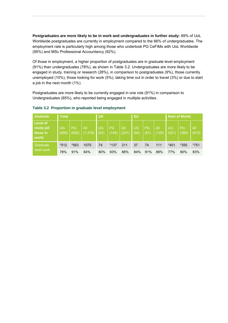**Postgraduates are more likely to be in work and undergraduates in further study:** 89% of UoL Worldwide postgraduates are currently in employment compared to the 66% of undergraduates. The employment rate is particularly high among those who undertook PG CeFIMs with UoL Worldwide (95%) and MSc Professional Accountancy (92%).

Of those in employment, a higher proportion of postgraduates are in graduate level employment (91%) than undergraduates (78%), as shown in Table 3.2. Undergraduates are more likely to be engaged in study, training or research (28%), in comparison to postgraduates (9%), those currently unemployed (10%), those looking for work (5%), taking time out in order to travel (3%) or due to start a job in the next month (1%).

Postgraduates are more likely to be currently engaged in one role (91%) in comparison to Undergraduates (85%), who reported being engaged in multiple activities.

| <b>Domicile</b>                                    | <b>Total</b> |                    |                 | <b>UK</b>         |                    |              | EU         |            |              | <b>Rest of World</b> |             |              |
|----------------------------------------------------|--------------|--------------------|-----------------|-------------------|--------------------|--------------|------------|------------|--------------|----------------------|-------------|--------------|
| <b>Level of</b><br>study (all<br>those in<br>work) | UG<br>(658)  | <b>PG</b><br>(620) | All<br>(1, 278) | <b>UG</b><br>(93) | <b>PG</b><br>(148) | All<br>(241) | UG<br>(44) | PG<br>(81) | All<br>(125) | <b>UG</b><br>(521)   | PG<br>(389) | All<br>(910) |
| Graduate                                           | $*512$       | *563               | 1075            | 74                | $*137$             | 211          | 37         | 74         | 111          | $*401$               | $*350$      | *751         |
| level work                                         | 78%          | 91%                | 84%             | 80%               | 93%                | 88%          | 84%        | 91%        | 89%          | 77%                  | 90%         | 83%          |

#### **Table 3.2 Proportion in graduate level employment**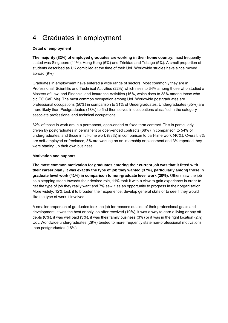# <span id="page-9-0"></span>4 Graduates in employment

### **Detail of employment**

**The majority (82%) of employed graduates are working in their home country;** most frequently stated was Singapore (11%), Hong Kong (6%) and Trinidad and Tobago (5%). A small proportion of students described as UK domiciled at the time of their UoL Worldwide studies have since moved abroad (9%).

Graduates in employment have entered a wide range of sectors. Most commonly they are in Professional, Scientific and Technical Activities (22%) which rises to 34% among those who studied a Masters of Law, and Financial and Insurance Activities (16%, which rises to 38% among those who did PG CeFIMs). The most common occupation among UoL Worldwide postgraduates are professional occupations (50%) in comparison to 31% of Undergraduates. Undergraduates (35%) are more likely than Postgraduates (18%) to find themselves in occupations classified in the category associate professional and technical occupations.

82% of those in work are in a permanent, open-ended or fixed term contract. This is particularly driven by postgraduates in permanent or open-ended contracts (68%) in comparison to 54% of undergraduates, and those in full-time work (88%) in comparison to part-time work (40%). Overall, 8% are self-employed or freelance, 3% are working on an internship or placement and 3% reported they were starting up their own business.

### **Motivation and support**

**The most common motivation for graduates entering their current job was that it fitted with their career plan / it was exactly the type of job they wanted (37%), particularly among those in graduate level work (41%) in comparison to non-graduate level work (20%).** Others saw the job as a stepping stone towards their desired role, 11% took it with a view to gain experience in order to get the type of job they really want and 7% saw it as an opportunity to progress in their organisation. More widely, 12% took it to broaden their experience, develop general skills or to see if they would like the type of work it involved.

A smaller proportion of graduates took the job for reasons outside of their professional goals and development, it was the best or only job offer received (10%), it was a way to earn a living or pay off debts (6%), it was well paid (3%), it was their family business (3%) or it was in the right location (2%). UoL Worldwide undergraduates (29%) tended to more frequently state non-professional motivations than postgraduates (16%).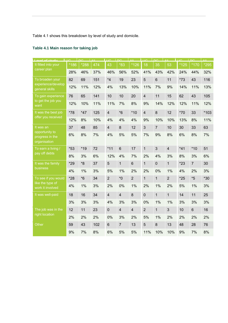Table 4.1 shows this breakdown by level of study and domicile.

| and of chidu                                      | 1102   | $\overline{\phantom{a}}$ DC | $\overline{A}$ II. | $\Box$         | $\overline{P}$          | $\Delta$ II    | Lue.           | $\overline{D}$ | $\Delta \text{H}$ | <b>LIIQ</b> | <b>DC</b>      | $\overline{A}$ II. |
|---------------------------------------------------|--------|-----------------------------|--------------------|----------------|-------------------------|----------------|----------------|----------------|-------------------|-------------|----------------|--------------------|
| It fitted into your                               | $*186$ | *288                        | 474                | 43             | $*83$                   | $*126$         | 18             | 35             | 53                | $*125$      | $*170$         | *295               |
| career plan                                       | 28%    | 46%                         | 37%                | 46%            | 56%                     | 52%            | 41%            | 43%            | 42%               | 24%         | 44%            | 32%                |
| To broaden your                                   | 82     | 69                          | 151                | $*4$           | 19                      | 23             | 5              | 6              | 11                | $*73$       | 43             | 116                |
| experience/develop<br>general skills              | 12%    | 11%                         | 12%                | 4%             | 13%                     | 10%            | 11%            | 7%             | 9%                | 14%         | 11%            | 13%                |
| To gain experience                                | 76     | 65                          | 141                | 10             | 10                      | 20             | $\overline{4}$ | 11             | 15                | 62          | 43             | 105                |
| to get the job you<br>want                        | 12%    | 10%                         | 11%                | 11%            | 7%                      | 8%             | 9%             | 14%            | 12%               | 12%         | 11%            | 12%                |
| It was the best job                               | $*78$  | $*47$                       | 125                | $\overline{4}$ | $*6$                    | $*10$          | $\overline{4}$ | 8              | 12                | $*70$       | 33             | *103               |
| offer you received                                | 12%    | 8%                          | 10%                | 4%             | 4%                      | 4%             | 9%             | 10%            | 10%               | 13%         | 8%             | 11%                |
| It was an                                         | 37     | 48                          | 85                 | $\overline{4}$ | 8                       | 12             | $\mathfrak{S}$ | $\overline{7}$ | 10                | 30          | 33             | 63                 |
| opportunity to<br>progress in the<br>organisation | 6%     | 8%                          | 7%                 | 4%             | 5%                      | 5%             | 7%             | 9%             | 8%                | 6%          | 8%             | 7%                 |
| To earn a living /                                | $*53$  | $*19$                       | 72                 | $*11$          | $6\phantom{1}$          | 17             | $\mathbf{1}$   | 3              | $\overline{4}$    | $*41$       | $*10$          | 51                 |
| pay off debts                                     | 8%     | 3%                          | 6%                 | 12%            | 4%                      | 7%             | 2%             | 4%             | 3%                | 8%          | 3%             | 6%                 |
| It was the family                                 | *29    | $*8$                        | 37                 | 5              | $\mathbf{1}$            | $6\phantom{1}$ | $\mathbf{1}$   | $\mathbf 0$    | $\mathbf{1}$      | $*23$       | $\overline{7}$ | 30                 |
| business                                          | 4%     | 1%                          | 3%                 | 5%             | 1%                      | 2%             | 2%             | 0%             | 1%                | 4%          | 2%             | 3%                 |
| To see if you would                               | $*28$  | $*6$                        | 34                 | $\overline{2}$ | $*0$                    | $\overline{2}$ | $\mathbf{1}$   | $\mathbf{1}$   | $\overline{2}$    | $*25$       | $*5$           | $*30$              |
| like the type of<br>work it involved              | 4%     | 1%                          | 3%                 | 2%             | 0%                      | 1%             | 2%             | 1%             | 2%                | 5%          | 1%             | 3%                 |
| It was well-paid                                  | 18     | 16                          | 34                 | $\overline{4}$ | $\overline{\mathbf{4}}$ | 8              | $\mathbf 0$    | $\mathbf{1}$   | $\mathbf{1}$      | 14          | 11             | 25                 |
|                                                   | 3%     | 3%                          | 3%                 | 4%             | 3%                      | 3%             | 0%             | 1%             | 1%                | 3%          | 3%             | 3%                 |
| The job was in the                                | 12     | 11                          | 23                 | $\mathbf 0$    | $\overline{4}$          | $\overline{4}$ | $\overline{2}$ | $\mathbf{1}$   | 3                 | 10          | $6\phantom{1}$ | 16                 |
| right location                                    | 2%     | 2%                          | 2%                 | 0%             | 3%                      | 2%             | 5%             | 1%             | 2%                | 2%          | 2%             | 2%                 |
| Other                                             | 59     | 43                          | 102                | $6\phantom{a}$ | $\overline{7}$          | 13             | $\overline{5}$ | 8              | 13                | 48          | 28             | 76                 |
|                                                   | 9%     | 7%                          | 8%                 | 6%             | 5%                      | 5%             | 11%            | 10%            | 10%               | 9%          | 7%             | 8%                 |

# **Table 4.1 Main reason for taking job**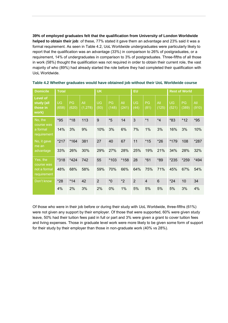**39% of employed graduates felt that the qualification from University of London Worldwide helped to obtain their job**: of these, 77% stated it gave them an advantage and 23% said it was a formal requirement. As seen in Table 4.2, UoL Worldwide undergraduates were particularly likely to report that the qualification was an advantage (33%) in comparison to 26% of postgraduates, or a requirement, 14% of undergraduates in comparison to 3% of postgraduates. Three-fifths of all those in work (58%) thought the qualification was not required in order to obtain their current role, the vast majority of who (89%) had already started the role before they had completed their qualification with UoL Worldwide.

| <b>Domicile</b>                                    | <b>Total</b>       |             |                 | <b>UK</b>         |             |              | <b>EU</b>         |                |              |                    | <b>Rest of World</b> |              |
|----------------------------------------------------|--------------------|-------------|-----------------|-------------------|-------------|--------------|-------------------|----------------|--------------|--------------------|----------------------|--------------|
| <b>Level of</b><br>study (all<br>those in<br>work) | <b>UG</b><br>(658) | PG<br>(620) | All<br>(1, 278) | <b>UG</b><br>(93) | PG<br>(148) | All<br>(241) | <b>UG</b><br>(44) | PG<br>(81)     | All<br>(125) | <b>UG</b><br>(521) | <b>PG</b><br>(389)   | All<br>(910) |
| No, the<br>course was                              | $*95$              | $*18$       | 113             | 9                 | $*5$        | 14           | 3                 | $*1$           | $*_{4}$      | *83                | $*12$                | $*95$        |
| a formal<br>requirement                            | 14%                | 3%          | 9%              | 10%               | 3%          | 6%           | 7%                | $1\%$          | 3%           | 16%                | 3%                   | 10%          |
| No, it gave<br>me an                               | $*217$             | $*164$      | 381             | 27                | 40          | 67           | 11                | $*15$          | $*26$        | *179               | 108                  | *287         |
| advantage                                          | 33%                | 26%         | 30%             | 29%               | 27%         | 28%          | 25%               | 19%            | 21%          | 34%                | 28%                  | 32%          |
| Yes, the<br>course was                             | $*318$             | $*424$      | 742             | 55                | *103        | *158         | 28                | $*61$          | *89          | *235               | *259                 | *494         |
| not a formal<br>requirement                        | 48%                | 68%         | 58%             | 59%               | 70%         | 66%          | 64%               | 75%            | 71%          | 45%                | 67%                  | 54%          |
| Don't know                                         | $*28$              | $*14$       | 42              | 2                 | $^*0$       | $*2$         | $\overline{2}$    | $\overline{4}$ | 6            | $*24$              | 10                   | 34           |
|                                                    | 4%                 | 2%          | 3%              | 2%                | 0%          | 1%           | 5%                | 5%             | 5%           | 5%                 | 3%                   | 4%           |

**Table 4.2 Whether graduates would have obtained job without their UoL Worldwide course** 

Of those who were in their job before or during their study with UoL Worldwide, three-fifths (61%) were not given any support by their employer. Of those that were supported, 60% were given study leave, 50% had their tuition fees paid in full or part and 3% were given a grant to cover tuition fees and living expenses. Those in graduate level work were more likely to be given some form of support for their study by their employer than those in non-graduate work (40% vs 28%).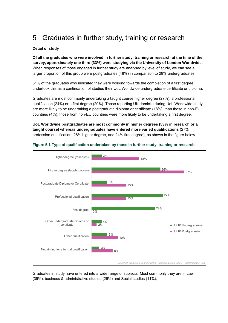# <span id="page-12-0"></span>5 Graduates in further study, training or research

### **Detail of study**

**Of all the graduates who were involved in further study, training or research at the time of the survey, approximately one third (33%) were studying via the University of London Worldwide.**  When responses of those engaged in further study are analysed by level of study, we can see a larger proportion of this group were postgraduates (48%) in comparison to 29% undergraduates.

81% of the graduates who indicated they were working towards the completion of a first degree, undertook this as a continuation of studies their UoL Worldwide undergraduate certificate or diploma.

Graduates are most commonly undertaking a taught course higher degree (27%), a professional qualification (24%) or a first degree (20%). Those reporting UK domicile during UoL Worldwide study are more likely to be undertaking a postgraduate diploma or certificate (18%) than those in non-EU countries (4%); those from non-EU countries were more likely to be undertaking a first degree.

**UoL Worldwide postgraduates are most commonly in higher degrees (53% in research or a taught course) whereas undergraduates have entered more varied qualifications** (27% profession qualification, 26% higher degree, and 24% first degree), as shown in the figure below.



**Figure 5.1 Type of qualification undertaken by those in further study, training or research** 

Graduates in study have entered into a wide range of subjects. Most commonly they are in Law (39%), business & administrative studies (26%) and Social studies (11%).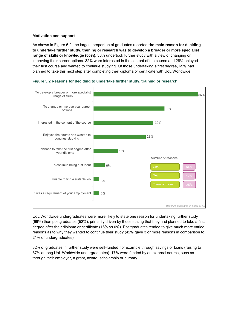#### **Motivation and support**

As shown in Figure 5.2, the largest proportion of graduates reported **the main reason for deciding to undertake further study, training or research was to develop a broader or more specialist range of skills or knowledge (56%).** 38% undertook further study with a view of changing or improving their career options. 32% were interested in the content of the course and 28% enjoyed their first course and wanted to continue studying. Of those undertaking a first degree, 65% had planned to take this next step after completing their diploma or certificate with UoL Worldwide.



#### **Figure 5.2 Reasons for deciding to undertake further study, training or research**

UoL Worldwide undergraduates were more likely to state one reason for undertaking further study (69%) than postgraduates (52%), primarily driven by those stating that they had planned to take a first degree after their diploma or certificate (16% vs 0%). Postgraduates tended to give much more varied reasons as to why they wanted to continue their study (42% gave 3 or more reasons in comparison to 21% of undergraduates).

82% of graduates in further study were self-funded, for example through savings or loans (raising to 87% among UoL Worldwide undergraduates). 17% were funded by an external source, such as through their employer, a grant, award, scholarship or bursary.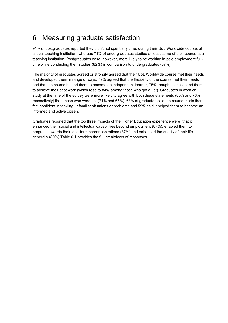# <span id="page-14-0"></span>6 Measuring graduate satisfaction

91% of postgraduates reported they didn't not spent any time, during their UoL Worldwide course, at a local teaching institution, whereas 71% of undergraduates studied at least some of their course at a teaching institution. Postgraduates were, however, more likely to be working in paid employment fulltime while conducting their studies (82%) in comparison to undergraduates (37%).

The majority of graduates agreed or strongly agreed that their UoL Worldwide course met their needs and developed them in range of ways: 79% agreed that the flexibility of the course met their needs and that the course helped them to become an independent learner, 75% thought it challenged them to achieve their best work (which rose to 84% among those who got a 1st). Graduates in work or study at the time of the survey were more likely to agree with both these statements (80% and 76% respectively) than those who were not (71% and 67%). 68% of graduates said the course made them feel confident in tackling unfamiliar situations or problems and 59% said it helped them to become an informed and active citizen.

Graduates reported that the top three impacts of the Higher Education experience were; that it enhanced their social and intellectual capabilities beyond employment (87%), enabled them to progress towards their long-term career aspirations (87%) and enhanced the quality of their life generally (80%) Table 6.1 provides the full breakdown of responses.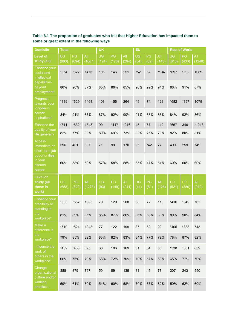| <b>Domicile</b>                                    | <b>Total</b>       |             |               | <b>UK</b>          |             |              | EU                |            |              |                    | <b>Rest of World</b> |               |
|----------------------------------------------------|--------------------|-------------|---------------|--------------------|-------------|--------------|-------------------|------------|--------------|--------------------|----------------------|---------------|
| <b>Level of</b><br>study (all)                     | <b>UG</b><br>(993) | PG<br>(694) | All<br>(1687) | <b>UG</b><br>(124) | PG<br>(170) | All<br>(294) | <b>UG</b><br>(54) | PG<br>(89) | All<br>(143) | <b>UG</b><br>(815) | PG<br>(433)          | All<br>(1248) |
| Enhance your<br>social and<br>intellectual         | *854               | *622        | 1476          | 105                | 146         | 251          | $*52$             | 82         | $*134$       | *697               | *392                 | 1089          |
| capabilities<br>beyond<br>employment*              | 86%                | 90%         | 87%           | 85%                | 86%         | 85%          | 96%               | 92%        | 94%          | 86%                | 91%                  | 87%           |
| Progress<br>towards your<br>long-term              | *839               | *629        | 1468          | 108                | 156         | 264          | 49                | 74         | 123          | *682               | *397                 | 1079          |
| career<br>aspirations*                             | 84%                | 91%         | 87%           | 87%                | 92%         | 90%          | 91%               | 83%        | 86%          | 84%                | 92%                  | 86%           |
| <b>Enhance the</b>                                 | $*811$             | $*532$      | 1343          | 99                 | $*117$      | $*216$       | 45                | 67         | 112          | *667               | 346                  | *1013         |
| quality of your<br>life generally                  | 82%                | 77%         | 80%           | 80%                | 69%         | 73%          | 83%               | 75%        | 78%          | 82%                | 80%                  | 81%           |
| <b>Access</b><br>immediate or<br>short-term job    | 596                | 401         | 997           | 71                 | 99          | 170          | 35                | $*42$      | 77           | 490                | 259                  | 749           |
| opportunities<br>in your<br>chosen<br>career       | 60%                | 58%         | 59%           | 57%                | 58%         | 58%          | 65%               | 47%        | 54%          | 60%                | 60%                  | 60%           |
| <b>Level of</b><br>study (all<br>those in<br>work) | <b>UG</b><br>(658) | PG<br>(620) | All<br>(1278) | <b>UG</b><br>(93)  | PG<br>(148) | All<br>(241) | <b>UG</b><br>(44) | PG<br>(81) | All<br>(125) | <b>UG</b><br>(521) | PG<br>(389)          | All<br>(910)  |
| Enhance your<br>credibility or<br>standing in      | *533               | *552        | 1085          | 79                 | 129         | 208          | 38                | 72         | 110          | $*416$             | *349                 | 765           |
| the<br>workplace*                                  | 81%                | 89%         | 85%           | 85%                | 87%         | 86%          | 86%               | 89%        | 88%          | 80%                | 90%                  | 84%           |
| Make a<br>difference in                            | $*519$             | $*524$      | 1043          | 77                 | 122         | 199          | 37                | 62         | 99           | $*405$             | $*338$               | 743           |
| the<br>workplace*                                  | 79%                | 85%         | 82%           | 83%                | 82%         | 83%          | 84%               | 77%        | 79%          | 78%                | 87%                  | 82%           |
| Influence the<br>work of                           | $*432$             | *463        | 895           | 63                 | 106         | 169          | 31                | 54         | 85           | $*338$             | $*301$               | 639           |
| others in the<br>workplace*                        | 66%                | 75%         | 70%           | 68%                | 72%         | 70%          | 70%               | 67%        | 68%          | 65%                | 77%                  | 70%           |
| Change<br>organisational<br>culture and/or         | 388                | 379         | 767           | 50                 | 89          | 139          | 31                | 46         | 77           | 307                | 243                  | 550           |
| working<br>practices                               | 59%                | 61%         | 60%           | 54%                | 60%         | 58%          | 70%               | 57%        | 62%          | 59%                | 62%                  | 60%           |

# **Table 6.1 The proportion of graduates who felt that Higher Education has impacted them to some or great extent in the following ways**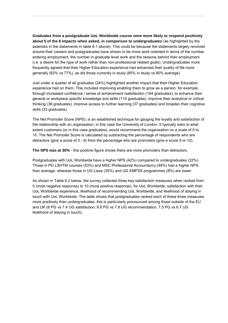**Graduates from a postgraduate UoL Worldwide course were more likely to respond positively about 5 of the 8 impacts when asked, in comparison to undergraduates** (as highlighted by the asterisks in the statements in table 6.1 above). This could be because the statements largely revolved around their careers and postgraduates have shown to be more work-oriented in terms of the number entering employment, the number in graduate level work and the reasons behind their employment (i.e. a desire for the type of work rather than non-professional related goals). Undergraduates more frequently agreed that their Higher Education experience had enhanced their quality of life more generally (82% vs 77%), as did those currently in study (85% in study vs 80% average).

Just under a quarter of all graduates (24%) highlighted another impact that their Higher Education experience had on them. This included improving enabling them to grow as a person, for example through increased confidence / sense of achievement /satisfaction (164 graduates); to enhance their general or workplace specific knowledge and skills (110 graduates), improve their analytical or critical thinking (38 graduates), improve access to further learning (37 graduates) and broaden their cognitive skills (33 graduates).

The Net Promoter Score (NPS), is an established technique for gauging the loyalty and satisfaction of the relationship with an organisation, in this case the University of London. It typically asks to what extent customers (or in this case graduates), would recommend the organisation on a scale of 0 to 10. The Net Promoter Score is calculated by subtracting the percentage of respondents who are detractors (give a score of 0 - 6) from the percentage who are promoters (give a score 9 or 10).

**The NPS was at 30%** - this positive figure shows there are more promoters than detractors.

Postgraduates with UoL Worldwide have a higher NPS (42%) compared to undergraduates (22%). Those in PG LSHTM courses (53%) and MSC Professional Accountancy (48%) had a higher NPS than average, whereas those in UG Laws (35%) and UG EMFSS programmes (8%) are lower.

As shown in Table 6.2 below, the survey collected three key satisfaction measures when ranked from 0 (most negative response) to 10 (most positive response), for UoL Worldwide; satisfaction with their UoL Worldwide experience, likelihood of recommending UoL Worldwide, and likelihood of staying in touch with UoL Worldwide. The table shows that postgraduates ranked each of these three measures more positively than undergraduates; this is particularly pronounced among those outside of the EU and UK (8 PG vs 7.4 UG satisfaction, 8.6 PG vs 7.8 UG recommendation, 7.5 PG vs 6.7 UG likelihood of staying in touch).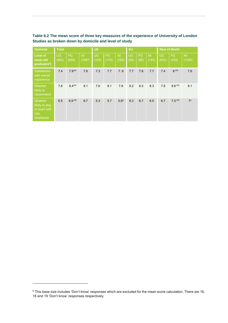| <b>Domicile</b>                                                       | <b>Total</b>       |                |               | <b>UK</b>          |             |                  | <b>EU</b>         |            |              | <b>Rest of World</b> |                     |                |  |
|-----------------------------------------------------------------------|--------------------|----------------|---------------|--------------------|-------------|------------------|-------------------|------------|--------------|----------------------|---------------------|----------------|--|
| Level of<br>study (all<br>graduates <sup>5</sup> )                    | <b>UG</b><br>(993) | PG<br>(694)    | All<br>(1687) | <b>UG</b><br>(124) | PG<br>(170) | All<br>(294)     | <b>UG</b><br>(54) | PG<br>(89) | All<br>(143) | <b>UG</b><br>(815)   | PG<br>(433)         | All<br>(1248)  |  |
| Satisfaction<br>with overall<br>experience                            | 7.4                | $7.9^{US}$     | 7.6           | 7.3                | 7.7         | 7.6              | 7.7               | 7.6        | 7.7          | 7.4                  | 8 UG                | 7.6            |  |
| Whether<br>likely to<br>recommend                                     | 7.8                | $8.4^{\cup G}$ | 8.1           | 7.6                | 8.1         | 7.9              | 8.2               | 8.3        | 8.3          | 7.8                  | $8.6$ UG            | 8.1            |  |
| Whether<br>likely to stay<br>in touch with<br><b>UoL</b><br>Worldwide | 6.5                | $6.9$ UG       | 6.7           | 5.3                | 5.7         | 5.6 <sup>a</sup> | 6.3               | 6.7        | 6.5          | 6.7                  | $7.5$ <sup>UG</sup> | 7 <sup>a</sup> |  |

**Table 6.2 The mean score of three key measures of the experience of University of London Studies as broken down by domicile and level of study** 

-

<sup>&</sup>lt;sup>5</sup> This base size includes 'Don't know' responses which are excluded for the mean score calculation. There are 16, 18 and 19 'Don't know' responses respectively.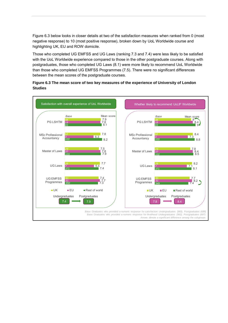Figure 6.3 below looks in closer details at two of the satisfaction measures when ranked from 0 (most negative response) to 10 (most positive response), broken down by UoL Worldwide course and highlighting UK, EU and ROW domicile.

Those who completed UG EMFSS and UG Laws (ranking 7.3 and 7.4) were less likely to be satisfied with the UoL Worldwide experience compared to those in the other postgraduate courses. Along with postgraduates, those who completed UG Laws (8.1) were more likely to recommend UoL Worldwide than those who completed UG EMFSS Programmes (7.5). There were no significant differences between the mean scores of the postgraduate courses.



#### **Figure 6.3 The mean score of two key measures of the experience of University of London Studies**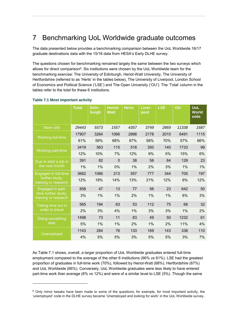# <span id="page-19-0"></span>7 Benchmarking UoL Worldwide graduate outcomes

The data presented below provides a benchmarking comparison between the UoL Worldwide 16/17 graduate destinations data with the 15/16 data from HESA's Early DLHE survey.

The questions chosen for benchmarking remained largely the same between the two surveys which allows for direct comparison<sup>6</sup>. Six institutions were chosen by the UoL Worldwide team for the benchmarking exercise: The University of Edinburgh, Heriot-Watt University, The University of Hertfordshire (referred to as 'Herts' in the tables below), The University of Liverpool, London School of Economics and Political Science ('LSE') and The Open University ('OU'). The 'Total' column in the tables refer to the total for these 6 institutions.

|                                             | <b>Total</b> | Edin-<br>burgh | Heriot-<br><b>Watt</b> | <b>Herts</b> | Liver-<br>pool | <b>LSE</b> | OU    | <b>UoL</b><br><b>World</b><br>wide |
|---------------------------------------------|--------------|----------------|------------------------|--------------|----------------|------------|-------|------------------------------------|
| Base (all)                                  | 29443        | 5573           | 1557                   | 4357         | 3749           | 2869       | 11338 | 1687                               |
|                                             | 17907        | 3264           | 1066                   | 2898         | 2178           | 2010       | 6491  | 1115                               |
| Working full-time                           | 61%          | 59%            | 68%                    | 67%          | 58%            | 70%        | 57%   | 66%                                |
|                                             | 3419         | 563            | 115                    | 518          | 350            | 140        | 1733  | 99                                 |
| <b>Working part-time</b>                    | 12%          | 10%            | 7%                     | 12%          | 9%             | 5%         | 15%   | 6%                                 |
| Due to start a job in                       | 391          | 82             | $\mathbf 0$            | 38           | 58             | 84         | 129   | 23                                 |
| the next month                              | 1%           | 1%             | $0\%$                  | 1%           | 2%             | 3%         | 1%    | 1%                                 |
| Engaged in full-time                        | 3662         | 1066           | 213                    | 557          | 777            | 344        | 705   | 197                                |
| further study,<br>training or research      | 12%          | 19%            | 14%                    | 13%          | 21%            | 12%        | 6%    | 12%                                |
| Engaged in part-                            | 858          | 47             | 13                     | 77           | 56             | 23         | 642   | 50                                 |
| time further study,<br>training or research | 3%           | 1%             | 1%                     | 2%           | 1%             | $1\%$      | 6%    | 3%                                 |
| Taking time out in                          | 565          | 194            | 63                     | 53           | 112            | 75         | 68    | 32                                 |
| order to travel                             | 2%           | 3%             | 4%                     | 1%           | 3%             | 3%         | $1\%$ | 2%                                 |
| Doing something                             | 1498         | 73             | 11                     | 83           | 49             | 50         | 1232  | 61                                 |
| else                                        | 5%           | 1%             | 1%                     | 2%           | 1%             | 2%         | 11%   | 4%                                 |
|                                             | 1143         | 284            | 76                     | 133          | 169            | 143        | 338   | 110                                |
| Unemployed                                  | 4%           | 5%             | 5%                     | 3%           | 5%             | 5%         | 3%    | 7%                                 |

### **Table 7.1 Most important activity**

-

As Table 7.1 shows, overall, a larger proportion of UoL Worldwide graduates entered full-time employment compared to the average of the other 6 institutions (66% vs 61%). LSE had the greatest proportion of graduates in full-time work (70%), followed by Heriot-Watt (68%), Hertfordshire (67%) and UoL Worldwide (66%). Conversely, UoL Worldwide graduates were less likely to have entered part-time work than average (6% vs 12%) and were of a similar level to LSE (5%). Though the same

<sup>&</sup>lt;sup>6</sup> Only minor tweaks have been made to some of the questions; for example, for most important activity, the 'unemployed' code in the DLHE survey became 'Unemployed and looking for work' in the UoL Worldwide survey.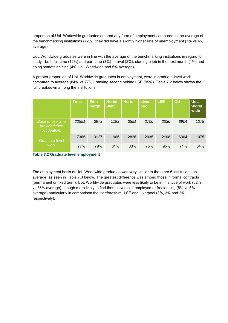proportion of UoL Worldwide graduates entered any form of employment compared to the average of the benchmarking institutions (72%), they did have a slightly higher rate of unemployment (7% vs 4% average).

UoL Worldwide graduates were in line with the average of the benchmarking institutions in regard to study - both full-time (12%) and part-time (3%) - travel (2%), starting a job in the next month (1%) and doing something else (4% UoL Worldwide and 5% average).

A greater proportion of UoL Worldwide graduates in employment, were in graduate-level work compared to average (84% vs 77%), ranking second behind LSE (95%). Table 7.2 below shows the full breakdown among the institutions.

|                                                  | <b>Total</b> | Edin-<br>burgh | <b>Heriot-</b><br><b>Watt</b> | <b>Herts</b> | Liver-<br>pool | <b>LSE</b> | <b>OU</b> | <b>UoL</b><br><b>World</b><br>wide |
|--------------------------------------------------|--------------|----------------|-------------------------------|--------------|----------------|------------|-----------|------------------------------------|
| Base (those who<br>provided their<br>occupation) | 22551        | 3973           | 1193                          | 3551         | 2700           | 2230       | 8904      | 1278                               |
| Graduate-level                                   | 17365        | 3127           | 965                           | 2826         | 2035           | 2108       | 6304      | 1075                               |
| <b>work</b>                                      | 77%          | 79%            | 81%                           | 80%          | 75%            | 95%        | 71%       | 84%                                |

**Table 7.2 Graduate level employment** 

The employment basis of UoL Worldwide graduates was very similar to the other 6 institutions on average, as seen in Table 7.3 below. The greatest difference was among those in formal contracts (permanent or fixed term). UoL Worldwide graduates were less likely to be in this type of work (82% vs 86% average), though more likely to find themselves self-employed or freelancing (8% vs 5% average) particularly in comparison the Hertfordshire, LSE and Liverpool (3%, 3% and 2% respectively).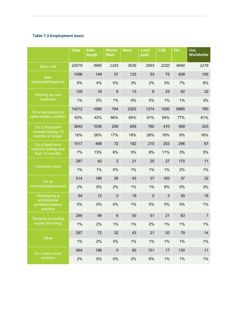## **Table 7.3 Employment basis**

|                                          | Total | Edin-<br>burgh | Heriot-<br><b>Watt</b> | <b>Herts</b> | Liver-<br>pool | <b>LSE</b> | OU    | <b>UoL</b><br><b>Worldwide</b> |
|------------------------------------------|-------|----------------|------------------------|--------------|----------------|------------|-------|--------------------------------|
| Base (all)                               | 22579 | 3985           | 1193                   | 3536         | 2693           | 2232       | 8940  | 1278                           |
| Self-                                    | 1096  | 149            | 57                     | 123          | 53             | 75         | 639   | 105                            |
| employed/freelance                       | 5%    | 4%             | 5%                     | 3%           | 2%             | 3%         | 7%    | 8%                             |
| Starting up own                          | 128   | 18             | $6\phantom{1}$         | 13           | 6              | 23         | 62    | 32                             |
| business                                 | 1%    | 0%             | 1%                     | 0%           | 0%             | 1%         | 1%    | 3%                             |
| On a permanent or                        | 14212 | 1686           | 784                    | 2303         | 1374           | 1200       | 6865  | 780                            |
| open-ended contract                      | 63%   | 42%            | 66%                    | 65%          | 51%            | 54%        | 77%   | 61%                            |
| On a fixed-term                          | 3640  | 1036           | 206                    | 659          | 760            | 410        | 569   | 203                            |
| contract lasting 12<br>months or longer  | 16%   | 26%            | 17%                    | 19%          | 28%            | 18%        | 6%    | 16%                            |
| On a fixed-term<br>contract lasting less | 1517  | 499            | 72                     | 182          | 215            | 253        | 296   | 67                             |
| than 12 months                           | 7%    | 13%            | 6%                     | $5%$         | 8%             | 11%        | 3%    | 5%                             |
| <b>Voluntary work</b>                    | 287   | 42             | $\overline{2}$         | 21           | 25             | 27         | 170   | 11                             |
|                                          | 1%    | 1%             | 0%                     | 1%           | 1%             | 1%         | 2%    | 1%                             |
| On an                                    | 514   | 186            | 28                     | 43           | 37             | 183        | 37    | 32                             |
| internship/placement                     | 2%    | 5%             | 2%                     | 1%           | 1%             | 8%         | 0%    | 3%                             |
| Developing a<br>professional             | 64    | 12             | $\overline{0}$         | 19           | $\mathbf 0$    | 3          | 30    | 16                             |
| portfolio/creative<br>practice           | 0%    | 0%             | 0%                     | 1%           | 0%             | 0%         | 0%    | $1\%$                          |
| <b>Temping (including</b>                | 290   | 99             | $\,6$                  | 50           | 51             | 21         | 63    | $\overline{7}$                 |
| supply teaching)                         | $1\%$ | 2%             | 1%                     | $1\%$        | 2%             | $1\%$      | 1%    | $1\%$                          |
|                                          | 267   | 72             | 32                     | 43           | 21             | 20         | 79    | 14                             |
| Other                                    | 1%    | 2%             | 3%                     | $1\%$        | 1%             | $1\%$      | 1%    | $1\%$                          |
| On a zero hours                          | 564   | 186            | $\pmb{0}$              | 80           | 151            | 17         | 130   | 11                             |
| contract                                 | 2%    | $5\%$          | $0\%$                  | 2%           | 6%             | $1\%$      | $1\%$ | $1\%$                          |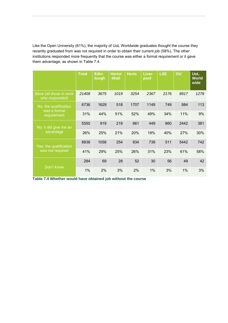Like the Open University (61%), the majority of UoL Worldwide graduates thought the course they recently graduated from was not required in order to obtain their current job (58%). The other institutions responded more frequently that the course was either a formal requirement or it gave them advantage, as shown in Table 7.4.

|                                                      | <b>Total</b> | Edin-<br>burgh | <b>Heriot</b><br>-Watt | <b>Herts</b> | Liver-<br>pool | <b>LSE</b> | OU   | <b>UoL</b><br><b>World</b><br>wide |
|------------------------------------------------------|--------------|----------------|------------------------|--------------|----------------|------------|------|------------------------------------|
| Base (all those in work<br>who responded)            | 21408        | 3675           | 1019                   | 3254         | 2367           | 2176       | 8917 | 1278                               |
| No: the qualification<br>was a formal<br>requirement | 6736         | 1629           | 518                    | 1707         | 1149           | 749        | 984  | 113                                |
|                                                      | 31%          | 44%            | 51%                    | 52%          | 49%            | 34%        | 11%  | 9%                                 |
| No: it did give me an<br>advantage                   | 5550         | 919            | 219                    | 661          | 449            | 860        | 2442 | 381                                |
|                                                      | 26%          | 25%            | 21%                    | 20%          | 19%            | 40%        | 27%  | 30%                                |
| Yes: the qualification<br>was not required           | 8838         | 1058           | 254                    | 834          | 739            | 511        | 5442 | 742                                |
|                                                      | 41%          | 29%            | 25%                    | 26%          | 31%            | 23%        | 61%  | 58%                                |
| Don't know                                           | 284          | 69             | 28                     | 52           | 30             | 56         | 49   | 42                                 |
|                                                      | 1%           | 2%             | 3%                     | 2%           | 1%             | 3%         | 1%   | 3%                                 |

**Table 7.4 Whether would have obtained job without the course**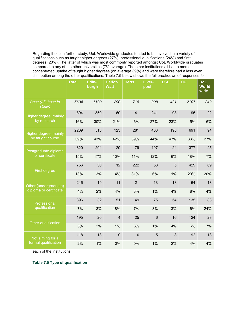Regarding those in further study, UoL Worldwide graduates tended to be involved in a variety of qualifications such as taught higher degrees (27%), professional qualifications (24%) and first degrees (20%). The latter of which was most commonly reported amongst UoL Worldwide graduates compared to any of the other universities (7% average). The other institutions all had a more concentrated uptake of taught higher degrees (on average 39%) and were therefore had a less even distribution among the other qualifications. Table 7.5 below shows the full breakdown of responses for

|                                                  | <b>Total</b> | Edin-<br>burgh | Heriot-<br><b>Watt</b> | <b>Herts</b>   | Liver-<br>pool | <b>LSE</b> | OU   | <b>UoL</b><br><b>World</b><br>wide |
|--------------------------------------------------|--------------|----------------|------------------------|----------------|----------------|------------|------|------------------------------------|
| <b>Base (All those in</b><br>study)              | 5634         | 1190           | 290                    | 718            | 908            | 421        | 2107 | 342                                |
| Higher degree, mainly<br>by research             | 894          | 359            | 60                     | 41             | 241            | 98         | 95   | 22                                 |
|                                                  | 16%          | 30%            | 21%                    | 6%             | 27%            | 23%        | 5%   | 6%                                 |
| <b>Higher degree, mainly</b><br>by taught course | 2209         | 513            | 123                    | 281            | 403            | 198        | 691  | 94                                 |
|                                                  | 39%          | 43%            | 42%                    | 39%            | 44%            | 47%        | 33%  | 27%                                |
| Postgraduate diploma<br>or certificate           | 820          | 204            | 29                     | 79             | 107            | 24         | 377  | 25                                 |
|                                                  | 15%          | 17%            | 10%                    | 11%            | 12%            | 6%         | 18%  | 7%                                 |
| First degree                                     | 756          | 30             | 12                     | 222            | 58             | 5          | 429  | 69                                 |
|                                                  | 13%          | 3%             | 4%                     | 31%            | 6%             | 1%         | 20%  | 20%                                |
| Other (undergraduate)<br>diploma or certificate  | 246          | 19             | 11                     | 21             | 13             | 18         | 164  | 13                                 |
|                                                  | 4%           | 2%             | 4%                     | 3%             | 1%             | 4%         | 8%   | 4%                                 |
| Professional<br>qualification                    | 396          | 32             | 51                     | 49             | 75             | 54         | 135  | 83                                 |
|                                                  | 7%           | 3%             | 18%                    | 7%             | 8%             | 13%        | 6%   | 24%                                |
| Other qualification                              | 195          | 20             | $\overline{4}$         | 25             | $6\phantom{1}$ | 16         | 124  | 23                                 |
|                                                  | 3%           | 2%             | 1%                     | 3%             | 1%             | 4%         | 6%   | 7%                                 |
| Not aiming for a<br>formal qualification         | 118          | 13             | $\overline{0}$         | $\overline{0}$ | 5              | 8          | 92   | 13                                 |
|                                                  | 2%           | 1%             | 0%                     | 0%             | 1%             | 2%         | 4%   | 4%                                 |

each of the institutions.

**Table 7.5 Type of qualification**